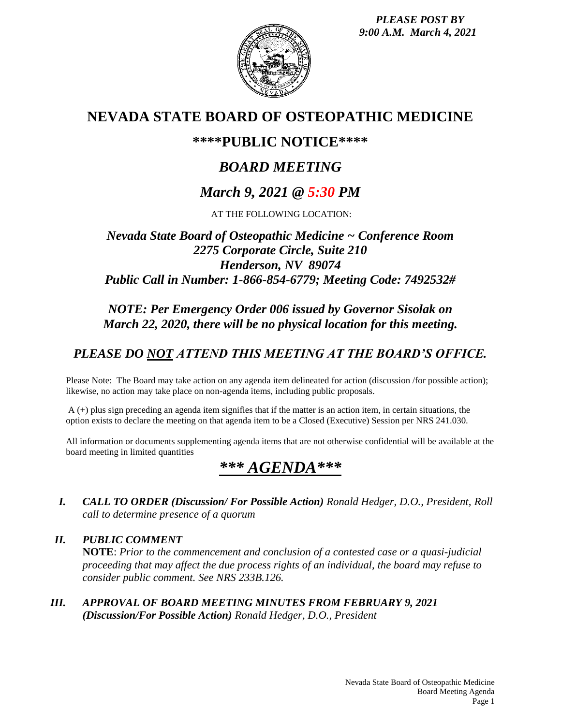*PLEASE POST BY 9:00 A.M. March 4, 2021*



# **NEVADA STATE BOARD OF OSTEOPATHIC MEDICINE**

# **\*\*\*\*PUBLIC NOTICE\*\*\*\***

# *BOARD MEETING*

# *March 9, 2021 @ 5:30 PM*

AT THE FOLLOWING LOCATION:

## *Nevada State Board of Osteopathic Medicine ~ Conference Room 2275 Corporate Circle, Suite 210 Henderson, NV 89074 Public Call in Number: 1-866-854-6779; Meeting Code: 7492532#*

## *NOTE: Per Emergency Order 006 issued by Governor Sisolak on March 22, 2020, there will be no physical location for this meeting.*

# *PLEASE DO NOT ATTEND THIS MEETING AT THE BOARD'S OFFICE.*

Please Note: The Board may take action on any agenda item delineated for action (discussion /for possible action); likewise, no action may take place on non-agenda items, including public proposals.

A (+) plus sign preceding an agenda item signifies that if the matter is an action item, in certain situations, the option exists to declare the meeting on that agenda item to be a Closed (Executive) Session per NRS 241.030.

All information or documents supplementing agenda items that are not otherwise confidential will be available at the board meeting in limited quantities

# *\*\*\* AGENDA\*\*\**

*I. CALL TO ORDER (Discussion/ For Possible Action) Ronald Hedger, D.O., President, Roll call to determine presence of a quorum*

*II. PUBLIC COMMENT* **NOTE**: *Prior to the commencement and conclusion of a contested case or a quasi-judicial proceeding that may affect the due process rights of an individual, the board may refuse to consider public comment. See NRS 233B.126.*

*III. APPROVAL OF BOARD MEETING MINUTES FROM FEBRUARY 9, 2021 (Discussion/For Possible Action) Ronald Hedger, D.O., President*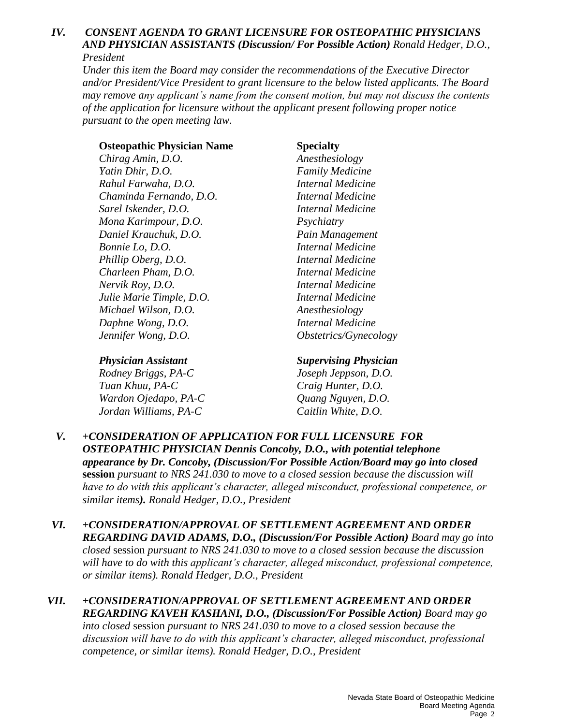## *IV. CONSENT AGENDA TO GRANT LICENSURE FOR OSTEOPATHIC PHYSICIANS AND PHYSICIAN ASSISTANTS (Discussion/ For Possible Action) Ronald Hedger, D.O., President*

*Under this item the Board may consider the recommendations of the Executive Director and/or President/Vice President to grant licensure to the below listed applicants. The Board may remove any applicant's name from the consent motion, but may not discuss the contents of the application for licensure without the applicant present following proper notice pursuant to the open meeting law.*

### **Osteopathic Physician Name Specialty**

*Chirag Amin, D.O. Anesthesiology Yatin Dhir, D.O. Family Medicine Rahul Farwaha, D.O. Internal Medicine Chaminda Fernando, D.O. Internal Medicine Sarel Iskender, D.O. Internal Medicine Mona Karimpour, D.O. Psychiatry Daniel Krauchuk, D.O. Pain Management Bonnie Lo, D.O. Internal Medicine Phillip Oberg, D.O. Internal Medicine Charleen Pham, D.O. Internal Medicine Nervik Roy, D.O. Internal Medicine Julie Marie Timple, D.O. Internal Medicine Michael Wilson, D.O. Anesthesiology Daphne Wong, D.O. Internal Medicine Jennifer Wong, D.O. Obstetrics/Gynecology*

*Rodney Briggs, PA-C Joseph Jeppson, D.O. Tuan Khuu, PA-C Craig Hunter, D.O. Wardon Ojedapo, PA-C Quang Nguyen, D.O. Jordan Williams, PA-C Caitlin White, D.O.*

## *Physician Assistant Supervising Physician*

- *V. +CONSIDERATION OF APPLICATION FOR FULL LICENSURE FOR OSTEOPATHIC PHYSICIAN Dennis Concoby, D.O., with potential telephone appearance by Dr. Concoby, (Discussion/For Possible Action/Board may go into closed*  **session** *pursuant to NRS 241.030 to move to a closed session because the discussion will have to do with this applicant's character, alleged misconduct, professional competence, or similar items). Ronald Hedger, D.O., President*
- *VI. +CONSIDERATION/APPROVAL OF SETTLEMENT AGREEMENT AND ORDER REGARDING DAVID ADAMS, D.O., (Discussion/For Possible Action) Board may go into closed* session *pursuant to NRS 241.030 to move to a closed session because the discussion will have to do with this applicant's character, alleged misconduct, professional competence, or similar items). Ronald Hedger, D.O., President*
- *VII. +CONSIDERATION/APPROVAL OF SETTLEMENT AGREEMENT AND ORDER REGARDING KAVEH KASHANI, D.O., (Discussion/For Possible Action) Board may go into closed* session *pursuant to NRS 241.030 to move to a closed session because the discussion will have to do with this applicant's character, alleged misconduct, professional competence, or similar items). Ronald Hedger, D.O., President*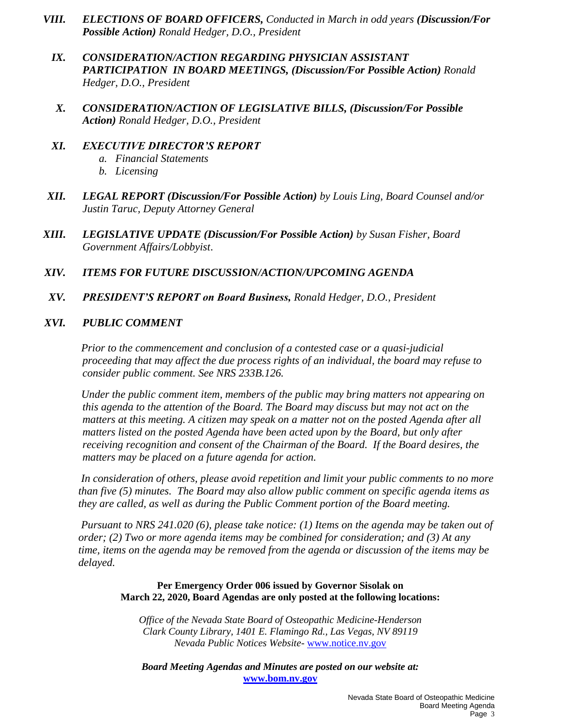- *VIII. ELECTIONS OF BOARD OFFICERS, Conducted in March in odd years (Discussion/For Possible Action) Ronald Hedger, D.O., President*
	- *IX. CONSIDERATION/ACTION REGARDING PHYSICIAN ASSISTANT PARTICIPATION IN BOARD MEETINGS, (Discussion/For Possible Action) Ronald Hedger, D.O., President*
	- *X. CONSIDERATION/ACTION OF LEGISLATIVE BILLS, (Discussion/For Possible Action) Ronald Hedger, D.O., President*
- *XI. EXECUTIVE DIRECTOR'S REPORT a. Financial Statements*
	- *b. Licensing*
- *XII. LEGAL REPORT (Discussion/For Possible Action) by Louis Ling, Board Counsel and/or Justin Taruc, Deputy Attorney General*
- *XIII. LEGISLATIVE UPDATE (Discussion/For Possible Action) by Susan Fisher, Board Government Affairs/Lobbyist*.
- *XIV. ITEMS FOR FUTURE DISCUSSION/ACTION/UPCOMING AGENDA*
- *XV. PRESIDENT'S REPORT on Board Business, Ronald Hedger, D.O., President*
- *XVI. PUBLIC COMMENT*

*Prior to the commencement and conclusion of a contested case or a quasi-judicial proceeding that may affect the due process rights of an individual, the board may refuse to consider public comment. See NRS 233B.126.*

*Under the public comment item, members of the public may bring matters not appearing on this agenda to the attention of the Board. The Board may discuss but may not act on the matters at this meeting. A citizen may speak on a matter not on the posted Agenda after all matters listed on the posted Agenda have been acted upon by the Board, but only after receiving recognition and consent of the Chairman of the Board. If the Board desires, the matters may be placed on a future agenda for action.*

*In consideration of others, please avoid repetition and limit your public comments to no more than five (5) minutes. The Board may also allow public comment on specific agenda items as they are called, as well as during the Public Comment portion of the Board meeting.* 

*Pursuant to NRS 241.020 (6), please take notice: (1) Items on the agenda may be taken out of order; (2) Two or more agenda items may be combined for consideration; and (3) At any time, items on the agenda may be removed from the agenda or discussion of the items may be delayed.*

### **Per Emergency Order 006 issued by Governor Sisolak on March 22, 2020, Board Agendas are only posted at the following locations:**

*Office of the Nevada State Board of Osteopathic Medicine-Henderson Clark County Library, 1401 E. Flamingo Rd., Las Vegas, NV 89119 Nevada Public Notices Website-* [www.notice.nv.gov](http://www.notice.nv.gov/)

*Board Meeting Agendas and Minutes are posted on our website at:* **[www.bom.nv.gov](http://www.bom.nv.gov/)**